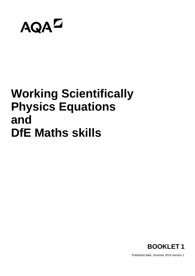

## **Working Scientifically Physics Equations and DfE Maths skills**



Published date: Summer 2016 version 1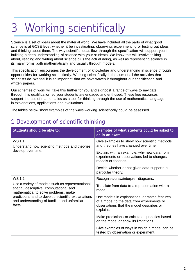## 3 Working scientifically

Science is a set of ideas about the material world. We have included all the parts of what good science is at GCSE level: whether it be investigating, observing, experimenting or testing out ideas and thinking about them. The way scientific ideas flow through the specification will support you in building a deep understanding of science with your students. We know this will involve talking about, reading and writing about science plus the actual doing, as well as representing science in its many forms both mathematically and visually through models.

This specification encourages the development of knowledge and understanding in science through opportunities for working scientifically. Working scientifically is the sum of all the activities that scientists do. We feel it is so important that we have woven it throughout our specification and written papers.

Our schemes of work will take this further for you and signpost a range of ways to navigate through this qualification so your students are engaged and enthused. These free resources support the use of mathematics as a tool for thinking through the use of mathematical language in explanations, applications and evaluations.

The tables below show examples of the ways working scientifically could be assessed.

### 1 Development of scientific thinking

| Students should be able to:                                                                                                                                                                                                                          | Examples of what students could be asked to<br>do in an exam                                                                                         |  |  |  |
|------------------------------------------------------------------------------------------------------------------------------------------------------------------------------------------------------------------------------------------------------|------------------------------------------------------------------------------------------------------------------------------------------------------|--|--|--|
| WS 1.1<br>Understand how scientific methods and theories                                                                                                                                                                                             | Give examples to show how scientific methods<br>and theories have changed over time.                                                                 |  |  |  |
| develop over time.                                                                                                                                                                                                                                   | Explain, with an example, why new data from<br>experiments or observations led to changes in<br>models or theories.                                  |  |  |  |
|                                                                                                                                                                                                                                                      | Decide whether or not given data supports a<br>particular theory.                                                                                    |  |  |  |
| WS 1.2                                                                                                                                                                                                                                               | Recognise/draw/interpret diagrams.                                                                                                                   |  |  |  |
| Use a variety of models such as representational,<br>spatial, descriptive, computational and<br>mathematical to solve problems, make<br>predictions and to develop scientific explanations<br>and understanding of familiar and unfamiliar<br>facts. | Translate from data to a representation with a<br>model.                                                                                             |  |  |  |
|                                                                                                                                                                                                                                                      | Use models in explanations, or match features<br>of a model to the data from experiments or<br>observations that the model describes or<br>explains. |  |  |  |
|                                                                                                                                                                                                                                                      | Make predictions or calculate quantities based<br>on the model or show its limitations.                                                              |  |  |  |
|                                                                                                                                                                                                                                                      | Give examples of ways in which a model can be<br>tested by observation or experiment.                                                                |  |  |  |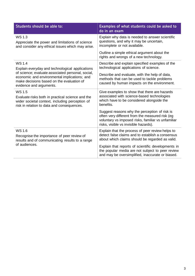| Students should be able to:                                                                                                                                               | Examples of what students could be asked to<br>do in an exam                                                                                                                                    |  |  |
|---------------------------------------------------------------------------------------------------------------------------------------------------------------------------|-------------------------------------------------------------------------------------------------------------------------------------------------------------------------------------------------|--|--|
| <b>WS1.3</b><br>Appreciate the power and limitations of science<br>and consider any ethical issues which may arise.                                                       | Explain why data is needed to answer scientific<br>questions, and why it may be uncertain,<br>incomplete or not available.                                                                      |  |  |
|                                                                                                                                                                           | Outline a simple ethical argument about the<br>rights and wrongs of a new technology.                                                                                                           |  |  |
| <b>WS1.4</b><br>Explain everyday and technological applications                                                                                                           | Describe and explain specified examples of the<br>technological applications of science.                                                                                                        |  |  |
| of science; evaluate associated personal, social,<br>economic and environmental implications; and<br>make decisions based on the evaluation of<br>evidence and arguments. | Describe and evaluate, with the help of data,<br>methods that can be used to tackle problems<br>caused by human impacts on the environment.                                                     |  |  |
| <b>WS1.5</b><br>Evaluate risks both in practical science and the<br>wider societal context, including perception of<br>risk in relation to data and consequences.         | Give examples to show that there are hazards<br>associated with science-based technologies<br>which have to be considered alongside the<br>benefits.                                            |  |  |
|                                                                                                                                                                           | Suggest reasons why the perception of risk is<br>often very different from the measured risk (eg<br>voluntary vs imposed risks, familiar vs unfamiliar<br>risks, visible vs invisible hazards). |  |  |
| WS 1.6                                                                                                                                                                    | Explain that the process of peer review helps to<br>detect false claims and to establish a consensus                                                                                            |  |  |
| Recognise the importance of peer review of<br>results and of communicating results to a range<br>of audiences.                                                            | about which claims should be regarded as valid.                                                                                                                                                 |  |  |
|                                                                                                                                                                           | Explain that reports of scientific developments in<br>the popular media are not subject to peer review<br>and may be oversimplified, inaccurate or biased.                                      |  |  |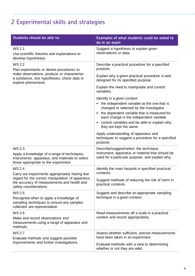### 2 Experimental skills and strategies

| Students should be able to:                                                                                                                                                  | Examples of what students could be asked to<br>do in an exam                                                                                                                                                                                                                                  |  |  |  |
|------------------------------------------------------------------------------------------------------------------------------------------------------------------------------|-----------------------------------------------------------------------------------------------------------------------------------------------------------------------------------------------------------------------------------------------------------------------------------------------|--|--|--|
| <b>WS 2.1</b><br>Use scientific theories and explanations to<br>develop hypotheses.                                                                                          | Suggest a hypothesis to explain given<br>observations or data.                                                                                                                                                                                                                                |  |  |  |
| WS 2.2<br>Plan experiments or devise procedures to                                                                                                                           | Describe a practical procedure for a specified<br>purpose.                                                                                                                                                                                                                                    |  |  |  |
| make observations, produce or characterise<br>a substance, test hypotheses, check data or<br>explore phenomena.                                                              | Explain why a given practical procedure is well<br>designed for its specified purpose.                                                                                                                                                                                                        |  |  |  |
|                                                                                                                                                                              | Explain the need to manipulate and control<br>variables.                                                                                                                                                                                                                                      |  |  |  |
|                                                                                                                                                                              | Identify in a given context:<br>• the independent variable as the one that is<br>changed or selected by the investigator<br>the dependent variable that is measured for<br>each change in the independent variable<br>control variables and be able to explain why<br>they are kept the same. |  |  |  |
|                                                                                                                                                                              | Apply understanding of apparatus and<br>techniques to suggest a procedure for a specified<br>purpose.                                                                                                                                                                                         |  |  |  |
| WS 2.3<br>Apply a knowledge of a range of techniques,<br>instruments, apparatus, and materials to select<br>those appropriate to the experiment.                             | Describe/suggest/select the technique,<br>instrument, apparatus or material that should be<br>used for a particular purpose, and explain why.                                                                                                                                                 |  |  |  |
| <b>WS 2.4</b>                                                                                                                                                                | Identify the main hazards in specified practical<br>contexts.                                                                                                                                                                                                                                 |  |  |  |
| Carry out experiments appropriately having due<br>regard for the correct manipulation of apparatus,<br>the accuracy of measurements and health and<br>safety considerations. | Suggest methods of reducing the risk of harm in<br>practical contexts.                                                                                                                                                                                                                        |  |  |  |
| WS 2.5<br>Recognise when to apply a knowledge of<br>sampling techniques to ensure any samples<br>collected are representative.                                               | Suggest and describe an appropriate sampling<br>technique in a given context.                                                                                                                                                                                                                 |  |  |  |
| WS 2.6<br>Make and record observations and<br>measurements using a range of apparatus and<br>methods.                                                                        | Read measurements off a scale in a practical<br>context and record appropriately.                                                                                                                                                                                                             |  |  |  |
| <b>WS 2.7</b><br>Evaluate methods and suggest possible                                                                                                                       | Assess whether sufficient, precise measurements<br>have been taken in an experiment.                                                                                                                                                                                                          |  |  |  |
| improvements and further investigations.                                                                                                                                     | Evaluate methods with a view to determining<br>whether or not they are valid.                                                                                                                                                                                                                 |  |  |  |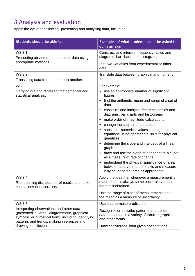### 3 Analysis and evaluation

Apply the cycle of collecting, presenting and analysing data, including:

| Students should be able to:                                                                                                                                                                    | Examples of what students could be asked to<br>do in an exam                                                                                                                                                                                                                                                                                                                                                                                                                                                                                                                                                                                                                                                       |  |  |  |
|------------------------------------------------------------------------------------------------------------------------------------------------------------------------------------------------|--------------------------------------------------------------------------------------------------------------------------------------------------------------------------------------------------------------------------------------------------------------------------------------------------------------------------------------------------------------------------------------------------------------------------------------------------------------------------------------------------------------------------------------------------------------------------------------------------------------------------------------------------------------------------------------------------------------------|--|--|--|
| WS 3.1<br>Presenting observations and other data using                                                                                                                                         | Construct and interpret frequency tables and<br>diagrams, bar charts and histograms.                                                                                                                                                                                                                                                                                                                                                                                                                                                                                                                                                                                                                               |  |  |  |
| appropriate methods.                                                                                                                                                                           | Plot two variables from experimental or other<br>data.                                                                                                                                                                                                                                                                                                                                                                                                                                                                                                                                                                                                                                                             |  |  |  |
| WS 3.2<br>Translating data from one form to another.                                                                                                                                           | Translate data between graphical and numeric<br>form.                                                                                                                                                                                                                                                                                                                                                                                                                                                                                                                                                                                                                                                              |  |  |  |
| <b>WS3.3</b><br>Carrying out and represent mathematical and<br>statistical analysis.                                                                                                           | For example:<br>use an appropriate number of significant<br>figures<br>find the arithmetic mean and range of a set of<br>data<br>construct and interpret frequency tables and<br>diagrams, bar charts and histograms<br>make order of magnitude calculations<br>change the subject of an equation<br>$\bullet$<br>substitute numerical values into algebraic<br>equations using appropriate units for physical<br>quantities<br>determine the slope and intercept of a linear<br>graph<br>draw and use the slope of a tangent to a curve<br>as a measure of rate of change<br>understand the physical significance of area<br>between a curve and the x-axis and measure<br>it by counting squares as appropriate. |  |  |  |
| WS 3.4<br>Representing distributions of results and make<br>estimations of uncertainty.                                                                                                        | Apply the idea that whenever a measurement is<br>made, there is always some uncertainty about<br>the result obtained.<br>Use the range of a set of measurements about                                                                                                                                                                                                                                                                                                                                                                                                                                                                                                                                              |  |  |  |
|                                                                                                                                                                                                | the mean as a measure of uncertainty.                                                                                                                                                                                                                                                                                                                                                                                                                                                                                                                                                                                                                                                                              |  |  |  |
| WS 3.5                                                                                                                                                                                         | Use data to make predictions.                                                                                                                                                                                                                                                                                                                                                                                                                                                                                                                                                                                                                                                                                      |  |  |  |
| Interpreting observations and other data<br>(presented in verbal, diagrammatic, graphical,<br>symbolic or numerical form), including identifying<br>patterns and trends, making inferences and | Recognise or describe patterns and trends in<br>data presented in a variety of tabular, graphical<br>and other forms.                                                                                                                                                                                                                                                                                                                                                                                                                                                                                                                                                                                              |  |  |  |
| drawing conclusions.                                                                                                                                                                           | Draw conclusions from given observations.                                                                                                                                                                                                                                                                                                                                                                                                                                                                                                                                                                                                                                                                          |  |  |  |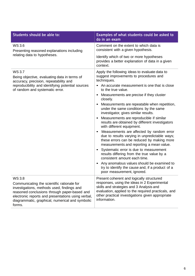| Students should be able to:                                                                                                                                                                                                                                           | Examples of what students could be asked to<br>do in an exam                                                                                                                                                                                                     |  |  |
|-----------------------------------------------------------------------------------------------------------------------------------------------------------------------------------------------------------------------------------------------------------------------|------------------------------------------------------------------------------------------------------------------------------------------------------------------------------------------------------------------------------------------------------------------|--|--|
| WS 3.6<br>Presenting reasoned explanations including                                                                                                                                                                                                                  | Comment on the extent to which data is<br>consistent with a given hypothesis.                                                                                                                                                                                    |  |  |
| relating data to hypotheses.                                                                                                                                                                                                                                          | Identify which of two or more hypotheses<br>provides a better explanation of data in a given<br>context.                                                                                                                                                         |  |  |
| <b>WS3.7</b><br>Being objective, evaluating data in terms of<br>accuracy, precision, repeatability and<br>reproducibility and identifying potential sources<br>of random and systematic error.                                                                        | Apply the following ideas to evaluate data to<br>suggest improvements to procedures and<br>techniques.<br>An accurate measurement is one that is close<br>to the true value.                                                                                     |  |  |
|                                                                                                                                                                                                                                                                       | Measurements are precise if they cluster<br>$\bullet$<br>closely.                                                                                                                                                                                                |  |  |
|                                                                                                                                                                                                                                                                       | Measurements are repeatable when repetition,<br>under the same conditions by the same<br>investigator, gives similar results.                                                                                                                                    |  |  |
|                                                                                                                                                                                                                                                                       | Measurements are reproducible if similar<br>results are obtained by different investigators<br>with different equipment.                                                                                                                                         |  |  |
|                                                                                                                                                                                                                                                                       | Measurements are affected by random error<br>$\bullet$<br>due to results varying in unpredictable ways;<br>these errors can be reduced by making more<br>measurements and reporting a mean value.                                                                |  |  |
|                                                                                                                                                                                                                                                                       | Systematic error is due to measurement<br>results differing from the true value by a<br>consistent amount each time.                                                                                                                                             |  |  |
|                                                                                                                                                                                                                                                                       | Any anomalous values should be examined to<br>$\bullet$<br>try to identify the cause and, if a product of a<br>poor measurement, ignored.                                                                                                                        |  |  |
| WS 3.8<br>Communicating the scientific rationale for<br>investigations, methods used, findings and<br>reasoned conclusions through paper-based and<br>electronic reports and presentations using verbal,<br>diagrammatic, graphical, numerical and symbolic<br>forms. | Present coherent and logically structured<br>responses, using the ideas in 2 Experimental<br>skills and strategies and 3 Analysis and<br>evaluation, applied to the required practicals, and<br>other practical investigations given appropriate<br>information. |  |  |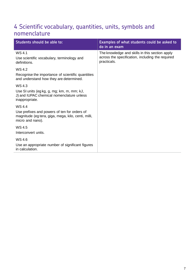#### 4 Scientific vocabulary, quantities, units, symbols and nomenclature

| Students should be able to:                                                                                                       | Examples of what students could be asked to<br>do in an exam                                                      |
|-----------------------------------------------------------------------------------------------------------------------------------|-------------------------------------------------------------------------------------------------------------------|
| WS 4.1<br>Use scientific vocabulary, terminology and<br>definitions.                                                              | The knowledge and skills in this section apply<br>across the specification, including the required<br>practicals. |
| WS 4.2<br>Recognise the importance of scientific quantities<br>and understand how they are determined.                            |                                                                                                                   |
| WS 4.3<br>Use SI units (eg kg, g, mg; km, m, mm; kJ,<br>J) and IUPAC chemical nomenclature unless<br>inappropriate.               |                                                                                                                   |
| WS 4.4<br>Use prefixes and powers of ten for orders of<br>magnitude (eg tera, giga, mega, kilo, centi, milli,<br>micro and nano). |                                                                                                                   |
| WS 4.5<br>Interconvert units.                                                                                                     |                                                                                                                   |
| WS 4.6<br>Use an appropriate number of significant figures<br>in calculation.                                                     |                                                                                                                   |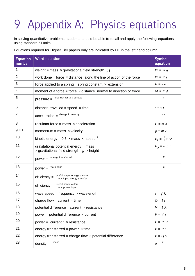# Appendix A: Physics equations

In solving quantitative problems, students should be able to recall and apply the following equations, using standard SI units.

Equations required for Higher Tier papers only are indicated by HT in the left hand column.

| <b>Equation</b><br>number | <b>Word equation</b>                                                                      | <b>Symbol</b><br>equation    |
|---------------------------|-------------------------------------------------------------------------------------------|------------------------------|
| 1                         | weight = mass $\times$ gravitational field strength (g)                                   | $W = m g$                    |
| 2                         | work done = force $\times$ distance along the line of action of the force                 | $W = F s$                    |
| 3                         | force applied to a spring = spring constant $\times$ extension                            | $F = k e$                    |
| 4                         | moment of a force = force $\times$ distance normal to direction of force                  | $M = F d$                    |
| 5                         | pressure = force normal to a surface                                                      | F                            |
| 6                         | distance travelled = speed $\times$ time                                                  | $s = v t$                    |
| $\overline{7}$            | $acceleration =$ <sup>change in velocity</sup>                                            | Δν                           |
| 8                         | resultant force = mass $\times$ acceleration                                              | $F = ma$                     |
| 9HT                       | momentum = mass $\times$ velocity                                                         | $p = m v$                    |
| 10                        | kinetic energy = 0.5 $\times$ mass $\times$ speed <sup>2</sup>                            | $E_k = \frac{1}{2} m v^2$    |
| 11                        | gravitational potential energy = mass<br>x gravitational field strength $g \times$ height | $E_p = m g h$                |
| 12                        | energy transferred<br>$power =$                                                           | $\cal E$                     |
| 13                        | work done<br>$power =$                                                                    | W                            |
| 14                        | useful output energy transfer<br>$efficiency =$<br>total input energy transfer            |                              |
| 15                        | useful power output<br>$efficiency =$<br>total power input                                |                              |
| 16                        | wave speed = frequency $\times$ wavelength                                                | $v = f \lambda$              |
| 17                        | charge flow = current $\times$ time                                                       | $Q = I t$                    |
| 18                        | potential difference = current $\times$ resistance                                        | $V = I R$                    |
| 19                        | power = potential difference $\times$ current                                             | $P = VI$                     |
| 20                        | power = $current2 \times resistance$                                                      | $P = I^2 R$                  |
| 21                        | energy transferred = power $\times$ time                                                  | $E = P t$                    |
| 22                        | energy transferred = charge flow $\times$ potential difference                            | $E = Q V$                    |
| 23                        | mass<br>$density =$                                                                       | $\boldsymbol{m}$<br>$\rho =$ |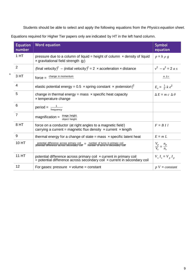Students should be able to select and apply the following equations from the *Physics equation sheet*.

Equations required for Higher Tier papers only are indicated by HT in the left hand column.

n

| <b>Equation</b><br>number | <b>Word equation</b>                                                                                                                                      | <b>Symbol</b><br>equation           |
|---------------------------|-----------------------------------------------------------------------------------------------------------------------------------------------------------|-------------------------------------|
| 1 <sub>HT</sub>           | pressure due to a column of liquid = height of column $\times$ density of liquid<br>$\times$ gravitational field strength (g)                             | $p = h \rho g$                      |
| 2                         | (final velocity) <sup>2</sup> – (initial velocity) <sup>2</sup> = 2 x acceleration x distance                                                             | $v^2 - u^2 = 2 a s$                 |
| 3 HT                      | $force = \frac{change in momentum}{}$                                                                                                                     | $m \Delta v$                        |
| 4                         | elastic potential energy = 0.5 x spring constant x (extension) <sup>2</sup>                                                                               | $E_e = \frac{1}{2} k e^2$           |
| 5                         | change in thermal energy = mass $\times$ specific heat capacity<br>x temperature change                                                                   | $\Delta E = mc \Delta \theta$       |
| 6                         | $period = \frac{1}{frequency}$                                                                                                                            |                                     |
| $\overline{7}$            | image height<br>$magnification =$<br>object height                                                                                                        |                                     |
| 8 HT                      | force on a conductor (at right angles to a magnetic field)<br>carrying a current = magnetic flux density $\times$ current $\times$ length                 | $F = B \mid l$                      |
| 9                         | thermal energy for a change of state = mass $\times$ specific latent heat                                                                                 | $E = m L$                           |
| 10 HT                     | potential difference across primary coil = number of turns in primary coil potential difference across secondary coil = number of turns in secondary coil | $\frac{V_p}{V_s} = \frac{n_p}{n_s}$ |
| 11 HT                     | potential difference across primary coil x current in primary coil<br>$=$ potential difference across secondary coil $\times$ current in secondary coil   | $V_{s} I_{s} = V_{p} I_{p}$         |
| 12                        | For gases: pressure $\times$ volume = constant                                                                                                            | $pV = constant$                     |